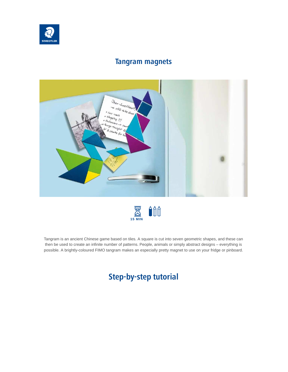

#### **Tangram magnets**





Tangram is an ancient Chinese game based on tiles. A square is cut into seven geometric shapes, and these can then be used to create an infinite number of patterns. People, animals or simply abstract designs – everything is possible. A brightly-coloured FIMO tangram makes an especially pretty magnet to use on your fridge or pinboard.

# **Step-by-step tutorial**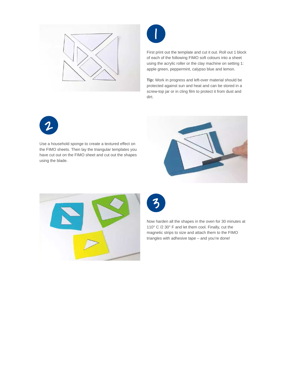



First print out the template and cut it out. Roll out 1 block of each of the following FIMO soft colours into a sheet using the acrylic roller or the clay machine on setting 1: apple green, peppermint, calypso blue and lemon.

**Tip:** Work in progress and left-over material should be protected against sun and heat and can be stored in a screw-top jar or in cling film to protect it from dust and dirt.



Use a household sponge to create a textured effect on the FIMO sheets. Then lay the triangular templates you have cut out on the FIMO sheet and cut out the shapes using the blade.







Now harden all the shapes in the oven for 30 minutes at 110° C /2 30° F and let them cool. Finally, cut the magnetic strips to size and attach them to the FIMO triangles with adhesive tape – and you're done!